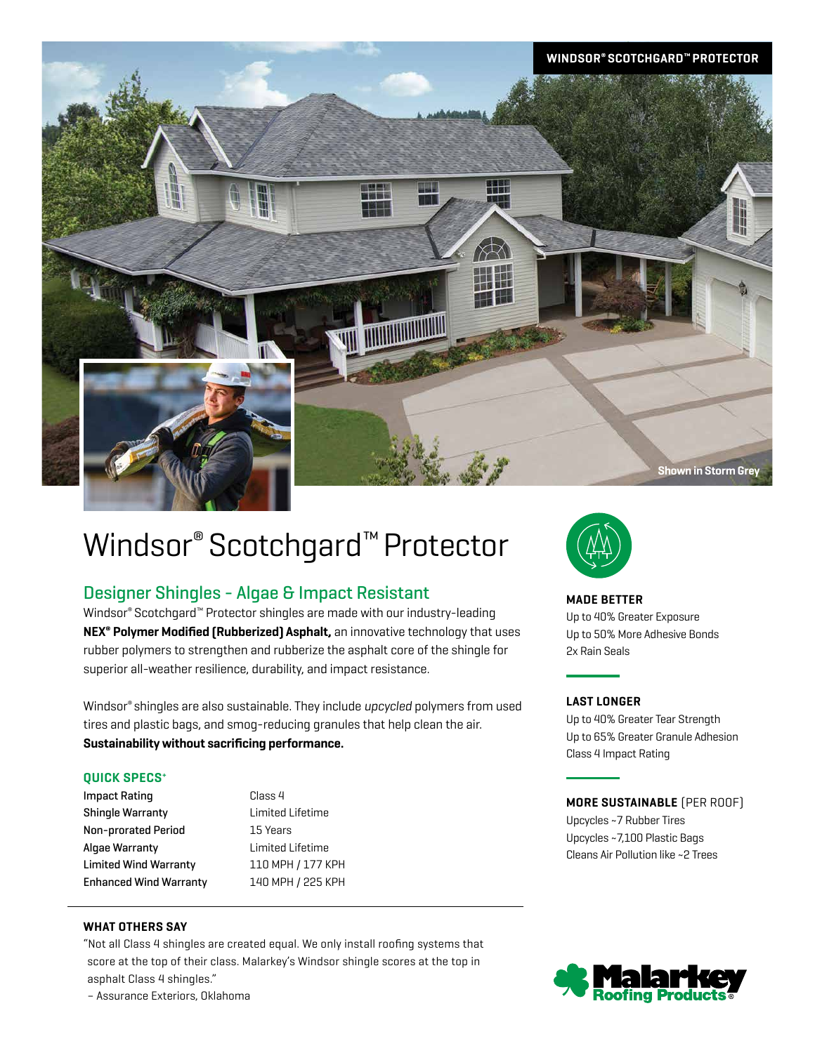

# Windsor<sup>®</sup> Scotchgard<sup>™</sup> Protector

# Designer Shingles - Algae & Impact Resistant

Windsor® Scotchgard™ Protector shingles are made with our industry-leading **NEX® Polymer Modified (Rubberized) Asphalt,** an innovative technology that uses rubber polymers to strengthen and rubberize the asphalt core of the shingle for superior all-weather resilience, durability, and impact resistance.

Windsor® shingles are also sustainable. They include *upcycled* polymers from used tires and plastic bags, and smog-reducing granules that help clean the air. **Sustainability without sacrificing performance.**

# **QUICK SPECS+**

Impact Rating **Class 4** Shingle Warranty Limited Lifetime Non-prorated Period 15 Years Algae Warranty Limited Lifetime Limited Wind Warranty 110 MPH / 177 KPH Enhanced Wind Warranty 140 MPH / 225 KPH

# **WHAT OTHERS SAY**

"Not all Class 4 shingles are created equal. We only install roofing systems that score at the top of their class. Malarkey's Windsor shingle scores at the top in asphalt Class 4 shingles."

**MADE BETTER** Up to 40% Greater Exposure Up to 50% More Adhesive Bonds 2x Rain Seals

# **LAST LONGER**

Up to 40% Greater Tear Strength Up to 65% Greater Granule Adhesion Class 4 Impact Rating

# **MORE SUSTAINABLE** (PER ROOF)

Upcycles ~7 Rubber Tires Upcycles ~7,100 Plastic Bags Cleans Air Pollution like ~2 Trees



– Assurance Exteriors, Oklahoma